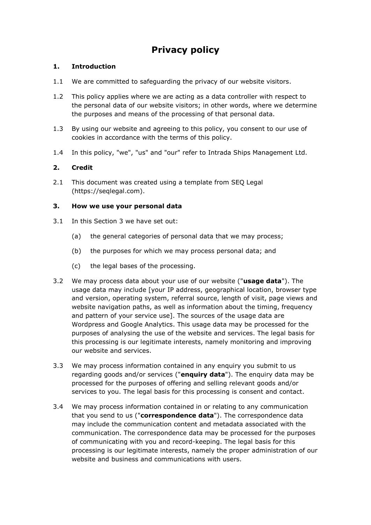# **Privacy policy**

# **1. Introduction**

- 1.1 We are committed to safeguarding the privacy of our website visitors.
- 1.2 This policy applies where we are acting as a data controller with respect to the personal data of our website visitors; in other words, where we determine the purposes and means of the processing of that personal data.
- 1.3 By using our website and agreeing to this policy, you consent to our use of cookies in accordance with the terms of this policy.
- 1.4 In this policy, "we", "us" and "our" refer to Intrada Ships Management Ltd.

# **2. Credit**

2.1 This document was created using a template from SEO Legal (https://seqlegal.com).

# **3. How we use your personal data**

- 3.1 In this Section 3 we have set out:
	- (a) the general categories of personal data that we may process;
	- (b) the purposes for which we may process personal data; and
	- (c) the legal bases of the processing.
- 3.2 We may process data about your use of our website ("**usage data**"). The usage data may include [your IP address, geographical location, browser type and version, operating system, referral source, length of visit, page views and website navigation paths, as well as information about the timing, frequency and pattern of your service use]. The sources of the usage data are Wordpress and Google Analytics. This usage data may be processed for the purposes of analysing the use of the website and services. The legal basis for this processing is our legitimate interests, namely monitoring and improving our website and services.
- 3.3 We may process information contained in any enquiry you submit to us regarding goods and/or services ("**enquiry data**"). The enquiry data may be processed for the purposes of offering and selling relevant goods and/or services to you. The legal basis for this processing is consent and contact.
- 3.4 We may process information contained in or relating to any communication that you send to us ("**correspondence data**"). The correspondence data may include the communication content and metadata associated with the communication. The correspondence data may be processed for the purposes of communicating with you and record-keeping. The legal basis for this processing is our legitimate interests, namely the proper administration of our website and business and communications with users.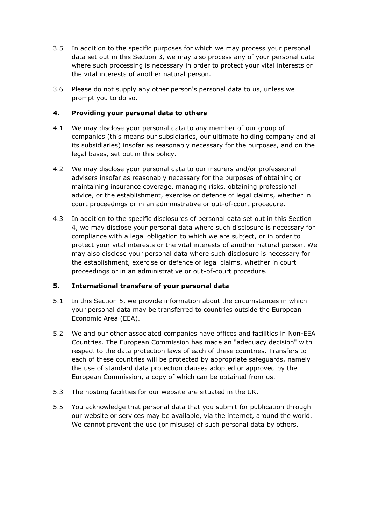- 3.5 In addition to the specific purposes for which we may process your personal data set out in this Section 3, we may also process any of your personal data where such processing is necessary in order to protect your vital interests or the vital interests of another natural person.
- 3.6 Please do not supply any other person's personal data to us, unless we prompt you to do so.

## **4. Providing your personal data to others**

- 4.1 We may disclose your personal data to any member of our group of companies (this means our subsidiaries, our ultimate holding company and all its subsidiaries) insofar as reasonably necessary for the purposes, and on the legal bases, set out in this policy.
- 4.2 We may disclose your personal data to our insurers and/or professional advisers insofar as reasonably necessary for the purposes of obtaining or maintaining insurance coverage, managing risks, obtaining professional advice, or the establishment, exercise or defence of legal claims, whether in court proceedings or in an administrative or out-of-court procedure.
- 4.3 In addition to the specific disclosures of personal data set out in this Section 4, we may disclose your personal data where such disclosure is necessary for compliance with a legal obligation to which we are subject, or in order to protect your vital interests or the vital interests of another natural person. We may also disclose your personal data where such disclosure is necessary for the establishment, exercise or defence of legal claims, whether in court proceedings or in an administrative or out-of-court procedure.

## **5. International transfers of your personal data**

- 5.1 In this Section 5, we provide information about the circumstances in which your personal data may be transferred to countries outside the European Economic Area (EEA).
- 5.2 We and our other associated companies have offices and facilities in Non-EEA Countries. The European Commission has made an "adequacy decision" with respect to the data protection laws of each of these countries. Transfers to each of these countries will be protected by appropriate safeguards, namely the use of standard data protection clauses adopted or approved by the European Commission, a copy of which can be obtained from us.
- 5.3 The hosting facilities for our website are situated in the UK.
- 5.5 You acknowledge that personal data that you submit for publication through our website or services may be available, via the internet, around the world. We cannot prevent the use (or misuse) of such personal data by others.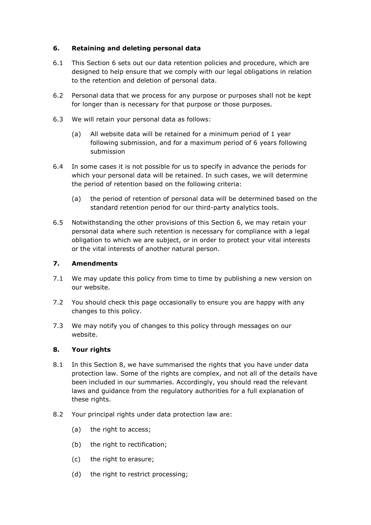## **6. Retaining and deleting personal data**

- 6.1 This Section 6 sets out our data retention policies and procedure, which are designed to help ensure that we comply with our legal obligations in relation to the retention and deletion of personal data.
- 6.2 Personal data that we process for any purpose or purposes shall not be kept for longer than is necessary for that purpose or those purposes.
- 6.3 We will retain your personal data as follows:
	- (a) All website data will be retained for a minimum period of 1 year following submission, and for a maximum period of 6 years following submission
- 6.4 In some cases it is not possible for us to specify in advance the periods for which your personal data will be retained. In such cases, we will determine the period of retention based on the following criteria:
	- (a) the period of retention of personal data will be determined based on the standard retention period for our third-party analytics tools.
- 6.5 Notwithstanding the other provisions of this Section 6, we may retain your personal data where such retention is necessary for compliance with a legal obligation to which we are subject, or in order to protect your vital interests or the vital interests of another natural person.

#### **7. Amendments**

- 7.1 We may update this policy from time to time by publishing a new version on our website.
- 7.2 You should check this page occasionally to ensure you are happy with any changes to this policy.
- 7.3 We may notify you of changes to this policy through messages on our website.

## **8. Your rights**

- 8.1 In this Section 8, we have summarised the rights that you have under data protection law. Some of the rights are complex, and not all of the details have been included in our summaries. Accordingly, you should read the relevant laws and guidance from the regulatory authorities for a full explanation of these rights.
- 8.2 Your principal rights under data protection law are:
	- (a) the right to access;
	- (b) the right to rectification;
	- (c) the right to erasure;
	- (d) the right to restrict processing;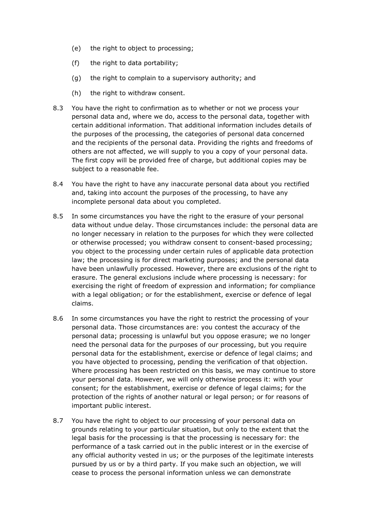- (e) the right to object to processing;
- (f) the right to data portability;
- (g) the right to complain to a supervisory authority; and
- (h) the right to withdraw consent.
- 8.3 You have the right to confirmation as to whether or not we process your personal data and, where we do, access to the personal data, together with certain additional information. That additional information includes details of the purposes of the processing, the categories of personal data concerned and the recipients of the personal data. Providing the rights and freedoms of others are not affected, we will supply to you a copy of your personal data. The first copy will be provided free of charge, but additional copies may be subject to a reasonable fee.
- 8.4 You have the right to have any inaccurate personal data about you rectified and, taking into account the purposes of the processing, to have any incomplete personal data about you completed.
- 8.5 In some circumstances you have the right to the erasure of your personal data without undue delay. Those circumstances include: the personal data are no longer necessary in relation to the purposes for which they were collected or otherwise processed; you withdraw consent to consent-based processing; you object to the processing under certain rules of applicable data protection law; the processing is for direct marketing purposes; and the personal data have been unlawfully processed. However, there are exclusions of the right to erasure. The general exclusions include where processing is necessary: for exercising the right of freedom of expression and information; for compliance with a legal obligation; or for the establishment, exercise or defence of legal claims.
- 8.6 In some circumstances you have the right to restrict the processing of your personal data. Those circumstances are: you contest the accuracy of the personal data; processing is unlawful but you oppose erasure; we no longer need the personal data for the purposes of our processing, but you require personal data for the establishment, exercise or defence of legal claims; and you have objected to processing, pending the verification of that objection. Where processing has been restricted on this basis, we may continue to store your personal data. However, we will only otherwise process it: with your consent; for the establishment, exercise or defence of legal claims; for the protection of the rights of another natural or legal person; or for reasons of important public interest.
- 8.7 You have the right to object to our processing of your personal data on grounds relating to your particular situation, but only to the extent that the legal basis for the processing is that the processing is necessary for: the performance of a task carried out in the public interest or in the exercise of any official authority vested in us; or the purposes of the legitimate interests pursued by us or by a third party. If you make such an objection, we will cease to process the personal information unless we can demonstrate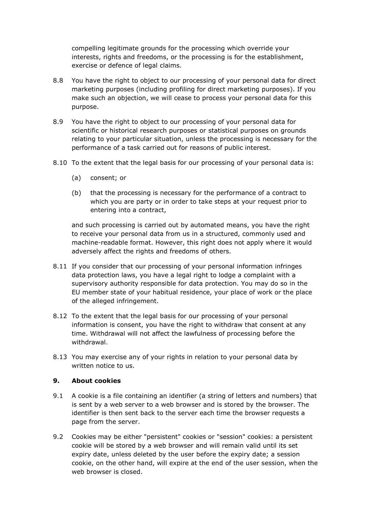compelling legitimate grounds for the processing which override your interests, rights and freedoms, or the processing is for the establishment, exercise or defence of legal claims.

- 8.8 You have the right to object to our processing of your personal data for direct marketing purposes (including profiling for direct marketing purposes). If you make such an objection, we will cease to process your personal data for this purpose.
- 8.9 You have the right to object to our processing of your personal data for scientific or historical research purposes or statistical purposes on grounds relating to your particular situation, unless the processing is necessary for the performance of a task carried out for reasons of public interest.
- 8.10 To the extent that the legal basis for our processing of your personal data is:
	- (a) consent; or
	- (b) that the processing is necessary for the performance of a contract to which you are party or in order to take steps at your request prior to entering into a contract,

and such processing is carried out by automated means, you have the right to receive your personal data from us in a structured, commonly used and machine-readable format. However, this right does not apply where it would adversely affect the rights and freedoms of others.

- 8.11 If you consider that our processing of your personal information infringes data protection laws, you have a legal right to lodge a complaint with a supervisory authority responsible for data protection. You may do so in the EU member state of your habitual residence, your place of work or the place of the alleged infringement.
- 8.12 To the extent that the legal basis for our processing of your personal information is consent, you have the right to withdraw that consent at any time. Withdrawal will not affect the lawfulness of processing before the withdrawal.
- 8.13 You may exercise any of your rights in relation to your personal data by written notice to us.

## **9. About cookies**

- 9.1 A cookie is a file containing an identifier (a string of letters and numbers) that is sent by a web server to a web browser and is stored by the browser. The identifier is then sent back to the server each time the browser requests a page from the server.
- 9.2 Cookies may be either "persistent" cookies or "session" cookies: a persistent cookie will be stored by a web browser and will remain valid until its set expiry date, unless deleted by the user before the expiry date; a session cookie, on the other hand, will expire at the end of the user session, when the web browser is closed.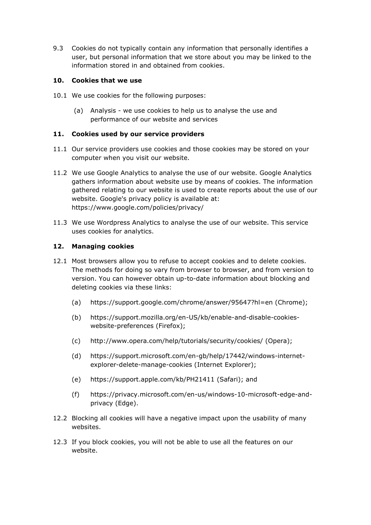9.3 Cookies do not typically contain any information that personally identifies a user, but personal information that we store about you may be linked to the information stored in and obtained from cookies.

#### **10. Cookies that we use**

- 10.1 We use cookies for the following purposes:
	- (a) Analysis we use cookies to help us to analyse the use and performance of our website and services

#### **11. Cookies used by our service providers**

- 11.1 Our service providers use cookies and those cookies may be stored on your computer when you visit our website.
- 11.2 We use Google Analytics to analyse the use of our website. Google Analytics gathers information about website use by means of cookies. The information gathered relating to our website is used to create reports about the use of our website. Google's privacy policy is available at: https://www.google.com/policies/privacy/
- 11.3 We use Wordpress Analytics to analyse the use of our website. This service uses cookies for analytics.

#### **12. Managing cookies**

- 12.1 Most browsers allow you to refuse to accept cookies and to delete cookies. The methods for doing so vary from browser to browser, and from version to version. You can however obtain up-to-date information about blocking and deleting cookies via these links:
	- (a) https://support.google.com/chrome/answer/95647?hl=en (Chrome);
	- (b) https://support.mozilla.org/en-US/kb/enable-and-disable-cookieswebsite-preferences (Firefox);
	- (c) http://www.opera.com/help/tutorials/security/cookies/ (Opera);
	- (d) https://support.microsoft.com/en-gb/help/17442/windows-internetexplorer-delete-manage-cookies (Internet Explorer);
	- (e) https://support.apple.com/kb/PH21411 (Safari); and
	- (f) https://privacy.microsoft.com/en-us/windows-10-microsoft-edge-andprivacy (Edge).
- 12.2 Blocking all cookies will have a negative impact upon the usability of many websites.
- 12.3 If you block cookies, you will not be able to use all the features on our website.